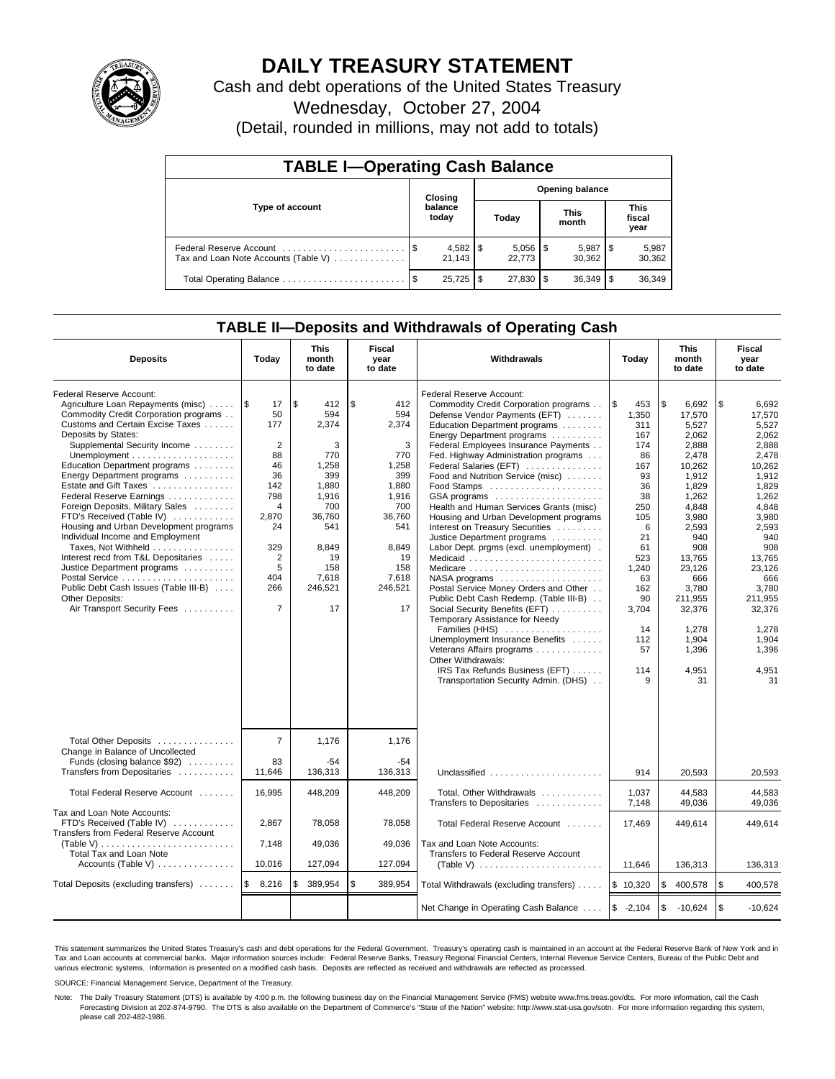

# **DAILY TREASURY STATEMENT**

Cash and debt operations of the United States Treasury

Wednesday, October 27, 2004

(Detail, rounded in millions, may not add to totals)

| <b>TABLE I-Operating Cash Balance</b> |  |                  |       |                          |                      |                        |                               |                 |  |  |
|---------------------------------------|--|------------------|-------|--------------------------|----------------------|------------------------|-------------------------------|-----------------|--|--|
| Type of account                       |  | Closing          |       |                          |                      | <b>Opening balance</b> |                               |                 |  |  |
|                                       |  | balance<br>today | Today |                          | <b>This</b><br>month |                        | <b>This</b><br>fiscal<br>year |                 |  |  |
| Tax and Loan Note Accounts (Table V)  |  | 21.143           |       | $5,056$ \ \ \$<br>22.773 |                      | 5,987<br>30.362        | 1\$                           | 5,987<br>30,362 |  |  |
|                                       |  | 25,725           |       | 27,830                   | 1 S                  | 36,349                 |                               | 36,349          |  |  |

## **TABLE II—Deposits and Withdrawals of Operating Cash**

| <b>Deposits</b>                                                                                                                                                                                                                                                                                                                                                                                                                                                                                                                                                                                                                                               | Today                                                                                                                                                | <b>This</b><br>month<br>to date                                                                                                                   | Fiscal<br>year<br>to date                                                                                                                       | <b>Withdrawals</b>                                                                                                                                                                                                                                                                                                                                                                                                                                                                                                                                                                                                                                                                                                                                                                                                                                                                      | Today                                                                                                                                                                              | <b>This</b><br>month<br>to date                                                                                                                                                                                                            | Fiscal<br>year<br>to date                                                                                                                                                                                                                  |
|---------------------------------------------------------------------------------------------------------------------------------------------------------------------------------------------------------------------------------------------------------------------------------------------------------------------------------------------------------------------------------------------------------------------------------------------------------------------------------------------------------------------------------------------------------------------------------------------------------------------------------------------------------------|------------------------------------------------------------------------------------------------------------------------------------------------------|---------------------------------------------------------------------------------------------------------------------------------------------------|-------------------------------------------------------------------------------------------------------------------------------------------------|-----------------------------------------------------------------------------------------------------------------------------------------------------------------------------------------------------------------------------------------------------------------------------------------------------------------------------------------------------------------------------------------------------------------------------------------------------------------------------------------------------------------------------------------------------------------------------------------------------------------------------------------------------------------------------------------------------------------------------------------------------------------------------------------------------------------------------------------------------------------------------------------|------------------------------------------------------------------------------------------------------------------------------------------------------------------------------------|--------------------------------------------------------------------------------------------------------------------------------------------------------------------------------------------------------------------------------------------|--------------------------------------------------------------------------------------------------------------------------------------------------------------------------------------------------------------------------------------------|
| Federal Reserve Account:<br>Agriculture Loan Repayments (misc)<br>Commodity Credit Corporation programs<br>Customs and Certain Excise Taxes<br>Deposits by States:<br>Supplemental Security Income<br>Education Department programs<br>Energy Department programs<br>Estate and Gift Taxes<br>Federal Reserve Earnings<br>Foreign Deposits, Military Sales<br>FTD's Received (Table IV)<br>Housing and Urban Development programs<br>Individual Income and Employment<br>Taxes, Not Withheld<br>Interest recd from T&L Depositaries<br>Justice Department programs<br>Public Debt Cash Issues (Table III-B)<br>Other Deposits:<br>Air Transport Security Fees | $\sqrt{3}$<br>17<br>50<br>177<br>2<br>88<br>46<br>36<br>142<br>798<br>4<br>2,870<br>24<br>329<br>$\overline{2}$<br>5<br>404<br>266<br>$\overline{7}$ | l \$<br>412<br>594<br>2,374<br>3<br>770<br>1,258<br>399<br>1.880<br>1,916<br>700<br>36,760<br>541<br>8,849<br>19<br>158<br>7,618<br>246,521<br>17 | \$<br>412<br>594<br>2,374<br>3<br>770<br>1,258<br>399<br>1.880<br>1,916<br>700<br>36,760<br>541<br>8,849<br>19<br>158<br>7,618<br>246,521<br>17 | Federal Reserve Account:<br>Commodity Credit Corporation programs<br>Defense Vendor Payments (EFT)<br>Education Department programs<br>Energy Department programs<br>Federal Employees Insurance Payments<br>Fed. Highway Administration programs<br>Federal Salaries (EFT)<br>Food and Nutrition Service (misc)<br>GSA programs<br>Health and Human Services Grants (misc)<br>Housing and Urban Development programs<br>Interest on Treasury Securities<br>Justice Department programs<br>Labor Dept. prgms (excl. unemployment).<br>Medicare<br>Postal Service Money Orders and Other<br>Public Debt Cash Redemp. (Table III-B)<br>Social Security Benefits (EFT)<br>Temporary Assistance for Needy<br>Families (HHS)<br>Unemployment Insurance Benefits<br>Veterans Affairs programs<br>Other Withdrawals:<br>IRS Tax Refunds Business (EFT)<br>Transportation Security Admin. (DHS) | l \$<br>453<br>1,350<br>311<br>167<br>174<br>86<br>167<br>93<br>36<br>38<br>250<br>105<br>6<br>21<br>61<br>523<br>1,240<br>63<br>162<br>90<br>3,704<br>14<br>112<br>57<br>114<br>9 | \$<br>6,692<br>17.570<br>5,527<br>2,062<br>2,888<br>2,478<br>10,262<br>1,912<br>1.829<br>1,262<br>4,848<br>3,980<br>2,593<br>940<br>908<br>13.765<br>23,126<br>666<br>3.780<br>211,955<br>32,376<br>1.278<br>1,904<br>1,396<br>4,951<br>31 | \$<br>6,692<br>17.570<br>5,527<br>2.062<br>2.888<br>2,478<br>10,262<br>1,912<br>1.829<br>1,262<br>4,848<br>3,980<br>2,593<br>940<br>908<br>13.765<br>23.126<br>666<br>3.780<br>211,955<br>32,376<br>1.278<br>1,904<br>1,396<br>4,951<br>31 |
| Total Other Deposits<br>Change in Balance of Uncollected<br>Funds (closing balance \$92)                                                                                                                                                                                                                                                                                                                                                                                                                                                                                                                                                                      | $\overline{7}$<br>83                                                                                                                                 | 1,176<br>$-54$                                                                                                                                    | 1,176<br>$-54$<br>136.313                                                                                                                       |                                                                                                                                                                                                                                                                                                                                                                                                                                                                                                                                                                                                                                                                                                                                                                                                                                                                                         |                                                                                                                                                                                    |                                                                                                                                                                                                                                            |                                                                                                                                                                                                                                            |
| Transfers from Depositaries<br>Total Federal Reserve Account                                                                                                                                                                                                                                                                                                                                                                                                                                                                                                                                                                                                  | 11.646<br>16,995                                                                                                                                     | 136,313<br>448,209                                                                                                                                | 448,209                                                                                                                                         | Total, Other Withdrawals                                                                                                                                                                                                                                                                                                                                                                                                                                                                                                                                                                                                                                                                                                                                                                                                                                                                | 914<br>1,037                                                                                                                                                                       | 20.593<br>44,583                                                                                                                                                                                                                           | 20.593<br>44,583                                                                                                                                                                                                                           |
| Tax and Loan Note Accounts:                                                                                                                                                                                                                                                                                                                                                                                                                                                                                                                                                                                                                                   |                                                                                                                                                      |                                                                                                                                                   |                                                                                                                                                 | Transfers to Depositaries                                                                                                                                                                                                                                                                                                                                                                                                                                                                                                                                                                                                                                                                                                                                                                                                                                                               | 7,148                                                                                                                                                                              | 49,036                                                                                                                                                                                                                                     | 49.036                                                                                                                                                                                                                                     |
| FTD's Received (Table IV)<br>Transfers from Federal Reserve Account                                                                                                                                                                                                                                                                                                                                                                                                                                                                                                                                                                                           | 2,867                                                                                                                                                | 78,058                                                                                                                                            | 78,058                                                                                                                                          | Total Federal Reserve Account                                                                                                                                                                                                                                                                                                                                                                                                                                                                                                                                                                                                                                                                                                                                                                                                                                                           | 17,469                                                                                                                                                                             | 449,614                                                                                                                                                                                                                                    | 449,614                                                                                                                                                                                                                                    |
| (Table V)<br><b>Total Tax and Loan Note</b>                                                                                                                                                                                                                                                                                                                                                                                                                                                                                                                                                                                                                   | 7,148                                                                                                                                                | 49,036                                                                                                                                            | 49,036                                                                                                                                          | Tax and Loan Note Accounts:<br>Transfers to Federal Reserve Account                                                                                                                                                                                                                                                                                                                                                                                                                                                                                                                                                                                                                                                                                                                                                                                                                     |                                                                                                                                                                                    |                                                                                                                                                                                                                                            |                                                                                                                                                                                                                                            |
| Accounts (Table V)                                                                                                                                                                                                                                                                                                                                                                                                                                                                                                                                                                                                                                            | 10,016                                                                                                                                               | 127,094                                                                                                                                           | 127,094                                                                                                                                         | (Table V) $\ldots \ldots \ldots \ldots \ldots \ldots \ldots$                                                                                                                                                                                                                                                                                                                                                                                                                                                                                                                                                                                                                                                                                                                                                                                                                            | 11,646                                                                                                                                                                             | 136,313                                                                                                                                                                                                                                    | 136,313                                                                                                                                                                                                                                    |
| Total Deposits (excluding transfers)                                                                                                                                                                                                                                                                                                                                                                                                                                                                                                                                                                                                                          | 1\$<br>8,216                                                                                                                                         | 389,954<br>\$                                                                                                                                     | \$<br>389,954                                                                                                                                   | Total Withdrawals (excluding transfers)                                                                                                                                                                                                                                                                                                                                                                                                                                                                                                                                                                                                                                                                                                                                                                                                                                                 | \$10,320                                                                                                                                                                           | \$<br>400,578                                                                                                                                                                                                                              | <b>S</b><br>400,578                                                                                                                                                                                                                        |
|                                                                                                                                                                                                                                                                                                                                                                                                                                                                                                                                                                                                                                                               |                                                                                                                                                      |                                                                                                                                                   |                                                                                                                                                 | Net Change in Operating Cash Balance                                                                                                                                                                                                                                                                                                                                                                                                                                                                                                                                                                                                                                                                                                                                                                                                                                                    | $$ -2,104$                                                                                                                                                                         | \$<br>$-10,624$                                                                                                                                                                                                                            | l \$<br>$-10.624$                                                                                                                                                                                                                          |

This statement summarizes the United States Treasury's cash and debt operations for the Federal Government. Treasury's operating cash is maintained in an account at the Federal Reserve Bank of New York and in Tax and Loan accounts at commercial banks. Major information sources include: Federal Reserve Banks, Treasury Regional Financial Centers, Internal Revenue Service Centers, Bureau of the Public Debt and<br>various electronic s

SOURCE: Financial Management Service, Department of the Treasury.

Note: The Daily Treasury Statement (DTS) is available by 4:00 p.m. the following business day on the Financial Management Service (FMS) website www.fms.treas.gov/dts. For more information, call the Cash Forecasting Division at 202-874-9790. The DTS is also available on the Department of Commerce's "State of the Nation" website: http://www.stat-usa.gov/sotn. For more information regarding this system, please call 202-482-1986.